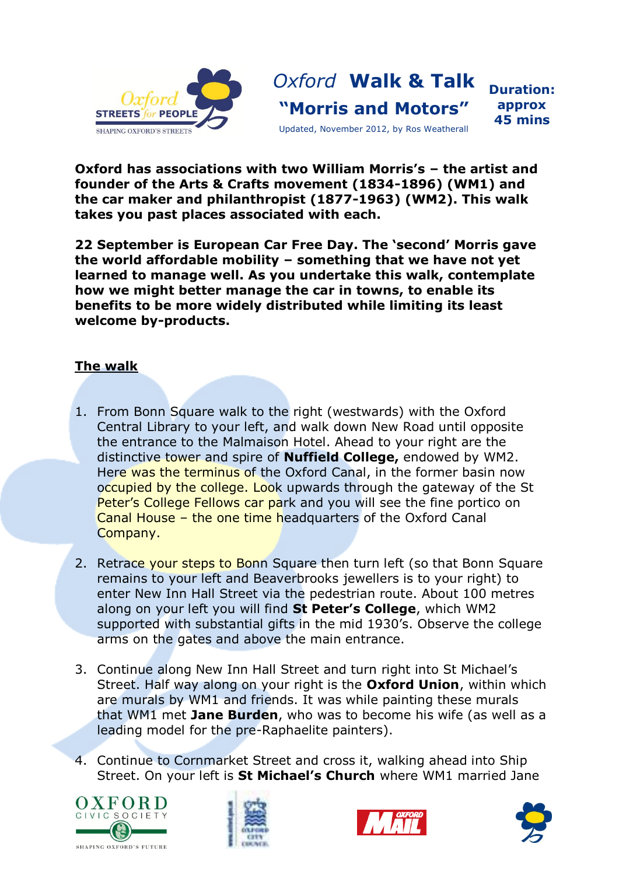

*Oxford* **Walk & Talk "Morris and Motors"**

**Duration: approx 45 mins**

Updated, November 2012, by Ros Weatherall

**Oxford has associations with two William Morris's – the artist and founder of the Arts & Crafts movement (1834-1896) (WM1) and the car maker and philanthropist (1877-1963) (WM2). This walk takes you past places associated with each.**

**22 September is European Car Free Day. The 'second' Morris gave the world affordable mobility – something that we have not yet learned to manage well. As you undertake this walk, contemplate how we might better manage the car in towns, to enable its benefits to be more widely distributed while limiting its least welcome by-products.**

## **The walk**

- 1. From Bonn Square walk to the right (westwards) with the Oxford Central Library to your left, and walk down New Road until opposite the entrance to the Malmaison Hotel. Ahead to your right are the distinctive tower and spire of **Nuffield College,** endowed by WM2. Here was the terminus of the Oxford Canal, in the former basin now occupied by the college. Look upwards through the gateway of the St Peter's College Fellows car park and you will see the fine portico on Canal House – the one time headquarters of the Oxford Canal Company.
- 2. Retrace your steps to Bonn Square then turn left (so that Bonn Square remains to your left and Beaverbrooks jewellers is to your right) to enter New Inn Hall Street via the pedestrian route. About 100 metres along on your left you will find **St Peter's College**, which WM2 supported with substantial gifts in the mid 1930's. Observe the college arms on the gates and above the main entrance.
- 3. Continue along New Inn Hall Street and turn right into St Michael's Street. Half way along on your right is the **Oxford Union**, within which are murals by WM1 and friends. It was while painting these murals that WM1 met **Jane Burden**, who was to become his wife (as well as a leading model for the pre-Raphaelite painters).
- 4. Continue to Cornmarket Street and cross it, walking ahead into Ship Street. On your left is **St Michael's Church** where WM1 married Jane